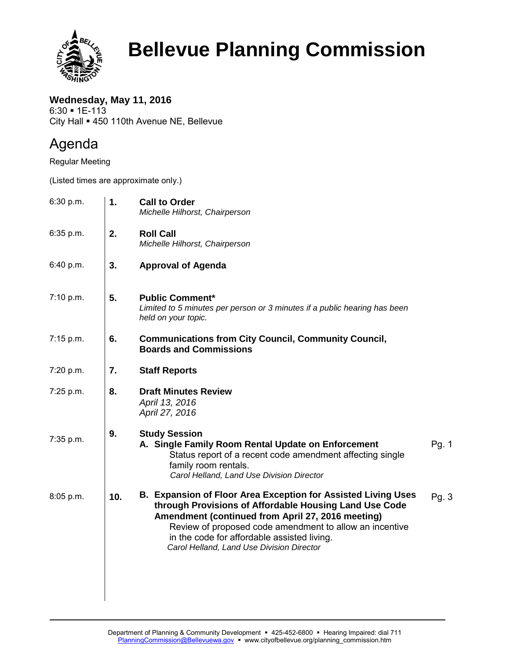

## **Bellevue Planning Commission**

**Wednesday, May 11, 2016**  $6:30 - 1E-113$ City Hall = 450 110th Avenue NE, Bellevue

## Agenda

Regular Meeting

(Listed times are approximate only.)

| 6:30 p.m. | 1.  | <b>Call to Order</b><br>Michelle Hilhorst, Chairperson                                                                                                                                                                                                                                                                              |       |
|-----------|-----|-------------------------------------------------------------------------------------------------------------------------------------------------------------------------------------------------------------------------------------------------------------------------------------------------------------------------------------|-------|
| 6:35 p.m. | 2.  | <b>Roll Call</b><br>Michelle Hilhorst, Chairperson                                                                                                                                                                                                                                                                                  |       |
| 6:40 p.m. | 3.  | <b>Approval of Agenda</b>                                                                                                                                                                                                                                                                                                           |       |
| 7:10 p.m. | 5.  | <b>Public Comment*</b><br>Limited to 5 minutes per person or 3 minutes if a public hearing has been<br>held on your topic.                                                                                                                                                                                                          |       |
| 7:15 p.m. | 6.  | <b>Communications from City Council, Community Council,</b><br><b>Boards and Commissions</b>                                                                                                                                                                                                                                        |       |
| 7:20 p.m. | 7.  | <b>Staff Reports</b>                                                                                                                                                                                                                                                                                                                |       |
| 7:25 p.m. | 8.  | <b>Draft Minutes Review</b><br>April 13, 2016<br>April 27, 2016                                                                                                                                                                                                                                                                     |       |
| 7:35 p.m. | 9.  | <b>Study Session</b><br>A. Single Family Room Rental Update on Enforcement<br>Status report of a recent code amendment affecting single<br>family room rentals.<br>Carol Helland, Land Use Division Director                                                                                                                        | Pg. 1 |
| 8:05 p.m. | 10. | B. Expansion of Floor Area Exception for Assisted Living Uses<br>through Provisions of Affordable Housing Land Use Code<br>Amendment (continued from April 27, 2016 meeting)<br>Review of proposed code amendment to allow an incentive<br>in the code for affordable assisted living.<br>Carol Helland, Land Use Division Director | Pg. 3 |